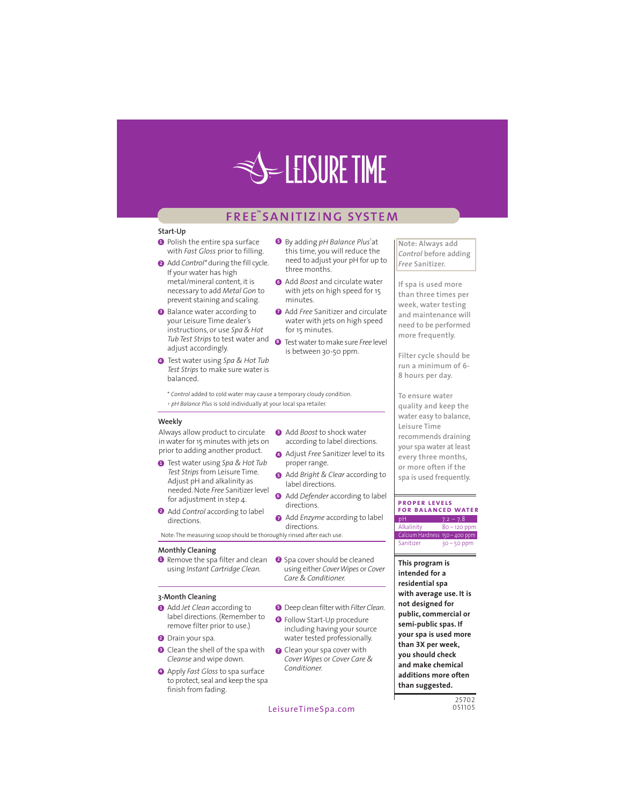

### FREE SANITIZING SYSTEM

three months.

for 15 minutes.

minutes

**8** By adding *pH Balance Plus*<sup>†</sup>at

this time, you will reduce the

Add Boost and circulate water

with jets on high speed for 15

Add Free Sanitizer and circulate

is between 30-50 ppm.

Add Boost to shock water

proper range.

label directions.

Care & Conditioner.

directions.

directions.

according to label directions.

Adjust Free Sanitizer level to its

Add Bright & Clear according to

Add Defender according to label

Add Enzyme according to label

**O** Deep clean filter with Filter Clean.

including having your source

water tested professionally.

Cover Wipes or Cover Care &

**O** Follow Start-Up procedure

O Clean your spa cover with

water with jets on high speed

need to adjust your pH for up to

#### Start-Up

- **O** Polish the entire spa surface with Fast Gloss prior to filling.
- Add Control\* during the fill cycle. If your water has high metal/mineral content, it is necessary to add Metal Gon to prevent staining and scaling.
- Balance water according to your Leisure Time dealer's instructions, or use Spa & Hot Tub Test Strips to test water and @ Test water to make sure Free level adjust accordingly.
- **4** Test water using Spa & Hot Tub Test Strips to make sure water is balanced

\* Control added to cold water may cause a temporary cloudy condition. + pH Balance Plus is sold individually at your local spa retailer.

#### Weekly

Always allow product to circulate in water for 15 minutes with jets on prior to adding another product.

- **O** Test water using Spa & Hot Tub Test Strips from Leisure Time. Adjust pH and alkalinity as needed. Note Free Sanitizer level for adjustment in step 4.
- Add Control according to label directions.

Note: The measuring scoop should be thoroughly rinsed after each use.

#### **Monthly Cleaning**

Remove the spa filter and clean Spa cover should be cleaned using Instant Cartridge Clean. using either Cover Wipes or Cover

#### 3-Month Cleaning

- Add Jet Clean according to label directions. (Remember to remove filter prior to use.)
- **O** Drain your spa.
- **O** Clean the shell of the spa with Cleanse and wipe down.
- Apply Fast Gloss to spa surface to protect, seal and keep the spa finish from fading.
	- LeisureTimeSpa.com

Conditioner.

Note: Always add Control before adding Free Sanitizer.

If spa is used more than three times per week, water testing and maintenance will need to be performed more frequently.

Filter cycle should be run a minimum of 6-8 hours per day.

To ensure water quality and keep the water easy to balance, Leisure Time recommends draining your spa water at least every three months, or more often if the spa is used frequently.

#### **PROPER LEVELS**

**FOR BALANCED WATER**  $80 - 120$  ppn Alkalinity Calcium Hardness 150 - 400 ppm Sanitize  $30 - 50$  ppr

This program is intended for a residential spa with average use. It is not designed for public, commercial or semi-public spas. If your spa is used more than 3X per week, you should check and make chemical additions more often than suggested.

> 25702 051105